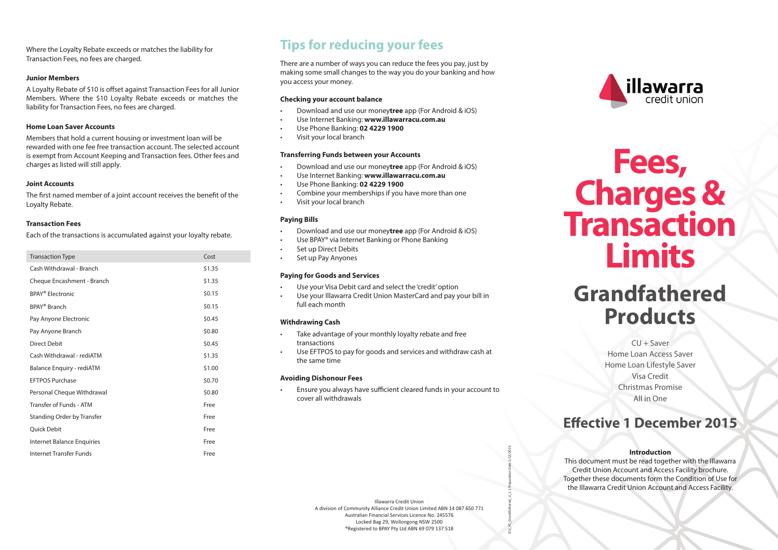Where the Loyalty Rebate exceeds or matches the liability for Transaction Fees, no fees are charged.

### **Junior Members**

A Loyalty Rebate of \$10 is offset against Transaction Fees for all Junior Members. Where the \$10 Loyalty Rebate exceeds or matches the liability for Transaction Fees, no fees are charged.

### **Home Loan Saver Accounts**

Members that hold a current housing or investment loan will be rewarded with one fee free transaction account. The selected account is exempt from Account Keeping and Transaction fees. Other fees and charges as listed will still apply.

### **Joint Accounts**

The first named member of a joint account receives the benefit of the Loyalty Rebate.

### **Transaction Fees**

Each of the transactions is accumulated against your loyalty rebate.

| <b>Transaction Type</b>           | Cost   |
|-----------------------------------|--------|
| Cash Withdrawal - Branch          | \$1.35 |
| Cheque Encashment - Branch        | \$1.35 |
| BPAY <sup>®</sup> Electronic      | \$0.15 |
| <b>BPAY<sup>®</sup></b> Branch    | \$0.15 |
| Pay Anyone Electronic             | \$0.45 |
| Pay Anyone Branch                 | \$0.80 |
| Direct Debit                      | \$0.45 |
| Cash Withdrawal - rediATM         | \$1.35 |
| Balance Enquiry - rediATM         | \$1.00 |
| <b>FFTPOS Purchase</b>            | \$0.70 |
| Personal Cheque Withdrawal        | \$0.80 |
| Transfer of Funds - ATM           | Free   |
| <b>Standing Order by Transfer</b> | Free   |
| <b>Ouick Debit</b>                | Free   |
| <b>Internet Balance Enquiries</b> | Free   |
| Internet Transfer Funds           | Free   |

### **Tips for reducing your fees**

There are a number of ways you can reduce the fees you pay, just by making some small changes to the way you do your banking and how you access your money.

### **Checking your account balance**

- Download and use our money**tree** app (For Android & iOS)
- Use Internet Banking: **www.illawarracu.com.au**
- Use Phone Banking: **02 4229 1900**
- Visit your local branch

#### **Transferring Funds between your Accounts**

- Download and use our money**tree** app (For Android & iOS)
- Use Internet Banking: **www.illawarracu.com.au**
- Use Phone Banking: **02 4229 1900**
- Combine your memberships if you have more than one
- Visit your local branch

### **Paying Bills**

- Download and use our money**tree** app (For Android & iOS)
- Use BPAY® via Internet Banking or Phone Banking
- Set up Direct Debits
- Set up Pay Anyones

### **Paying for Goods and Services**

- Use your Visa Debit card and select the 'credit' option
- Use your Illawarra Credit Union MasterCard and pay your bill in full each month

### **Withdrawing Cash**

- Take advantage of your monthly loyalty rebate and free transactions
- Use EFTPOS to pay for goods and services and withdraw cash at the same time

#### **Avoiding Dishonour Fees**

• Ensure you always have sufficient cleared funds in your account to cover all withdrawals



# **Fees, Charges & Transaction Limits**

## **Grandfathered Products**

 $CU + Saver$ Home Loan Access Saver Home Loan Lifestyle Saver Visa Credit Christmas Promise All in One

### **Effective 1 December 2015**

#### **Introduction**

This document must be read together with the Illawarra Credit Union Account and Access Facility brochure. Together these documents form the Condition of Use for the Illawarra Credit Union Account and Access Facility.

Illawarra Credit Union A division of Community Alliance Credit Union Limited ABN 14 087 650 771 Australian Financial Services Licence No. 245576 Locked Bag 29, Wollongong NSW 2500 ®Registered to BPAY Pty Ltd ABN 69 079 137 518

ICU\_FC\_Grandfathered\_V\_1.1 Preparation Date 1/12/2015